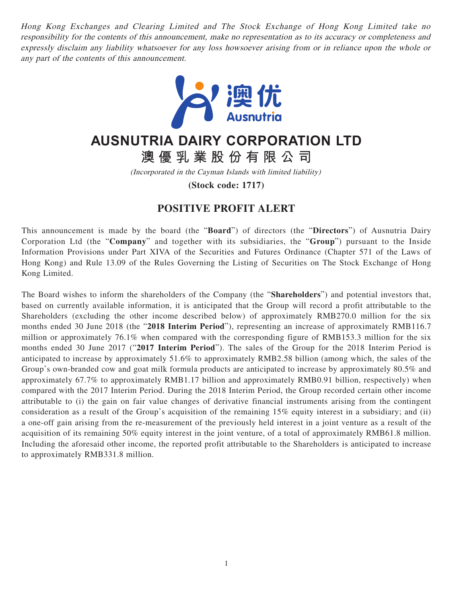Hong Kong Exchanges and Clearing Limited and The Stock Exchange of Hong Kong Limited take no responsibility for the contents of this announcement, make no representation as to its accuracy or completeness and expressly disclaim any liability whatsoever for any loss howsoever arising from or in reliance upon the whole or any part of the contents of this announcement.



## **AUSNUTRIA DAIRY CORPORATION LTD**

**澳優乳業股份有限公司**

(Incorporated in the Cayman Islands with limited liability)

**(Stock code: 1717)**

## **POSITIVE PROFIT ALERT**

This announcement is made by the board (the "**Board**") of directors (the "**Directors**") of Ausnutria Dairy Corporation Ltd (the "**Company**" and together with its subsidiaries, the "**Group**") pursuant to the Inside Information Provisions under Part XIVA of the Securities and Futures Ordinance (Chapter 571 of the Laws of Hong Kong) and Rule 13.09 of the Rules Governing the Listing of Securities on The Stock Exchange of Hong Kong Limited.

The Board wishes to inform the shareholders of the Company (the "**Shareholders**") and potential investors that, based on currently available information, it is anticipated that the Group will record a profit attributable to the Shareholders (excluding the other income described below) of approximately RMB270.0 million for the six months ended 30 June 2018 (the "**2018 Interim Period**"), representing an increase of approximately RMB116.7 million or approximately 76.1% when compared with the corresponding figure of RMB153.3 million for the six months ended 30 June 2017 ("**2017 Interim Period**"). The sales of the Group for the 2018 Interim Period is anticipated to increase by approximately 51.6% to approximately RMB2.58 billion (among which, the sales of the Group's own-branded cow and goat milk formula products are anticipated to increase by approximately 80.5% and approximately 67.7% to approximately RMB1.17 billion and approximately RMB0.91 billion, respectively) when compared with the 2017 Interim Period. During the 2018 Interim Period, the Group recorded certain other income attributable to (i) the gain on fair value changes of derivative financial instruments arising from the contingent consideration as a result of the Group's acquisition of the remaining 15% equity interest in a subsidiary; and (ii) a one-off gain arising from the re-measurement of the previously held interest in a joint venture as a result of the acquisition of its remaining 50% equity interest in the joint venture, of a total of approximately RMB61.8 million. Including the aforesaid other income, the reported profit attributable to the Shareholders is anticipated to increase to approximately RMB331.8 million.